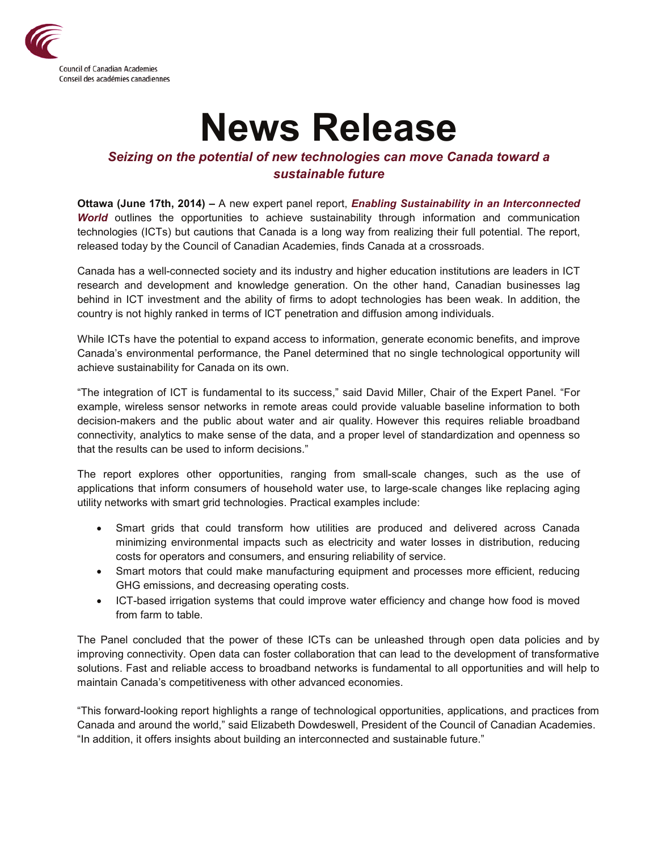

## **News Release**

## *Seizing on the potential of new technologies can move Canada toward a sustainable future*

**Ottawa (June 17th, 2014) –** A new expert panel report, *Enabling Sustainability in an Interconnected World* outlines the opportunities to achieve sustainability through information and communication technologies (ICTs) but cautions that Canada is a long way from realizing their full potential. The report, released today by the Council of Canadian Academies, finds Canada at a crossroads.

Canada has a well-connected society and its industry and higher education institutions are leaders in ICT research and development and knowledge generation. On the other hand, Canadian businesses lag behind in ICT investment and the ability of firms to adopt technologies has been weak. In addition, the country is not highly ranked in terms of ICT penetration and diffusion among individuals.

While ICTs have the potential to expand access to information, generate economic benefits, and improve Canada's environmental performance, the Panel determined that no single technological opportunity will achieve sustainability for Canada on its own.

"The integration of ICT is fundamental to its success," said David Miller, Chair of the Expert Panel. "For example, wireless sensor networks in remote areas could provide valuable baseline information to both decision-makers and the public about water and air quality. However this requires reliable broadband connectivity, analytics to make sense of the data, and a proper level of standardization and openness so that the results can be used to inform decisions."

The report explores other opportunities, ranging from small-scale changes, such as the use of applications that inform consumers of household water use, to large-scale changes like replacing aging utility networks with smart grid technologies. Practical examples include:

- Smart grids that could transform how utilities are produced and delivered across Canada minimizing environmental impacts such as electricity and water losses in distribution, reducing costs for operators and consumers, and ensuring reliability of service.
- Smart motors that could make manufacturing equipment and processes more efficient, reducing GHG emissions, and decreasing operating costs.
- ICT-based irrigation systems that could improve water efficiency and change how food is moved from farm to table.

The Panel concluded that the power of these ICTs can be unleashed through open data policies and by improving connectivity. Open data can foster collaboration that can lead to the development of transformative solutions. Fast and reliable access to broadband networks is fundamental to all opportunities and will help to maintain Canada's competitiveness with other advanced economies.

"This forward-looking report highlights a range of technological opportunities, applications, and practices from Canada and around the world," said Elizabeth Dowdeswell, President of the Council of Canadian Academies. "In addition, it offers insights about building an interconnected and sustainable future."